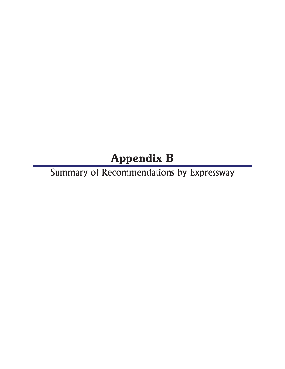# Appendix B

Summary of Recommendations by Expressway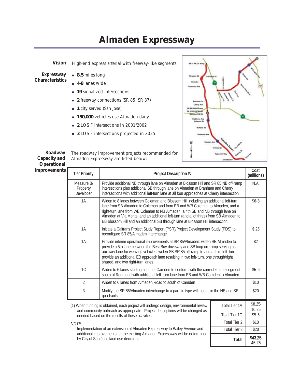#### **Almaden Expressway**

*Vision* High-end express arterial with freeway-like segments.

*Expressway Characteristics*

- **8.5** miles long
- **4-8** lanes wide
- **19** signalized intersections
- **2** freeway connections (SR 85, SR 87)
- **1** city served (San Jose)
- **150,000** vehicles use Almaden daily
- **2** LOS F intersections in 2001/2002
- **3** LOS F intersections projected in 2025



46.25

*Roadway Capacity and Operational*

The roadway improvement projects recommended for Almaden Expressway are listed below:

| Operational  |                                     |                                                                                                                                                                                                                                                                                                                                                                                                                                    |                      |                    |
|--------------|-------------------------------------|------------------------------------------------------------------------------------------------------------------------------------------------------------------------------------------------------------------------------------------------------------------------------------------------------------------------------------------------------------------------------------------------------------------------------------|----------------------|--------------------|
| Improvements | <b>Tier Priority</b>                | Project Description (1)                                                                                                                                                                                                                                                                                                                                                                                                            |                      | Cost<br>(millions) |
|              | Measure B/<br>Property<br>Developer | Provide additional NB through lane on Almaden at Blossom Hill and SR 85 NB off-ramp<br>intersections plus additional SB through lane on Almaden at Branham and Cherry<br>intersections with additional left-turn lane at all four approaches at Cherry intersection                                                                                                                                                                |                      | N.A.               |
|              | 1A                                  | Widen to 8 lanes between Coleman and Blossom Hill including an additional left-turn<br>lane from SB Almaden to Coleman and from EB and WB Coleman to Almaden, and a<br>right-turn lane from WB Coleman to NB Almaden; a 4th SB and NB through lane on<br>Almaden at Via Monte; and an additional left-turn (a total of three) from SB Almaden to<br>EB Blossom Hill and an additional SB through lane at Blossom Hill intersection |                      | $$6-8$             |
|              | 1A                                  | Initiate a Caltrans Project Study Report (PSR)/Project Development Study (PDS) to<br>reconfigure SR 85/Almaden interchange                                                                                                                                                                                                                                                                                                         |                      | \$.25              |
|              | 1A                                  | Provide interim operational improvements at SR 85/Almaden: widen SB Almaden to<br>provide a 5th lane between the Best Buy driveway and SB loop on-ramp serving as<br>auxiliary lane for weaving vehicles; widen SB SR 85 off-ramp to add a third left-turn;<br>provide an additional EB approach lane resulting in two left-turn, one through/right<br>shared, and two right-turn lanes                                            |                      | \$2                |
|              | 1C                                  | Widen to 6 lanes starting south of Camden to conform with the current 6-lane segment<br>south of Redmond with additional left-turn lane from EB and WB Camden to Almaden                                                                                                                                                                                                                                                           |                      | $$5-6$             |
|              | $\overline{2}$                      | Widen to 6 lanes from Almaden Road to south of Camden                                                                                                                                                                                                                                                                                                                                                                              |                      | \$10               |
|              | 3                                   | Modify the SR 85/Almaden interchange to a par-clo type with loops in the NE and SE<br>quadrants                                                                                                                                                                                                                                                                                                                                    |                      | \$20               |
|              |                                     | (1) When funding is obtained, each project will undergo design, environmental review,<br>and community outreach as appropriate. Project descriptions will be changed as                                                                                                                                                                                                                                                            | <b>Total Tier 1A</b> | \$8.25-<br>10.25   |
|              |                                     | needed based on the results of these activities.                                                                                                                                                                                                                                                                                                                                                                                   | Total Tier 1C        | $$5-6$             |
|              | NOTE:                               |                                                                                                                                                                                                                                                                                                                                                                                                                                    | <b>Total Tier 2</b>  | \$10               |
|              |                                     | Implementation of an extension of Almaden Expressway to Bailey Avenue and                                                                                                                                                                                                                                                                                                                                                          | Total Tier 3         | \$20               |

additional improvements for the existing Almaden Expressway will be determined by City of San Jose land use decisions.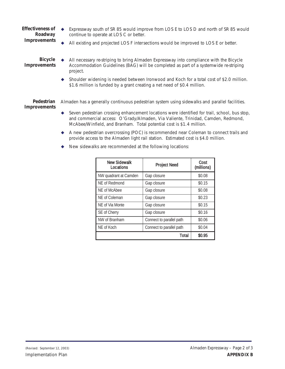- *Effectiveness of Roadway Improvements* Expressway south of SR 85 would improve from LOS E to LOS D and north of SR 85 would continue to operate at LOS C or better.
	- All existing and projected LOS F intersections would be improved to LOS E or better.

*Bicycle Improvements*

- All necessary re-striping to bring Almaden Expressway into compliance with the Bicycle Accommodation Guidelines (BAG) will be completed as part of a systemwide re-striping project.
	- Shoulder widening is needed between Ironwood and Koch for a total cost of \$2.0 million. \$1.6 million is funded by a grant creating a net need of \$0.4 million.

*Pedestrian Improvements* Almaden has a generally continuous pedestrian system using sidewalks and parallel facilities.

- Seven pedestrian crossing enhancement locations were identified for trail, school, bus stop, and commercial access: O'Grady/Almaden, Via Valiente, Trinidad, Camden, Redmond, McAbee/Winfield, and Branham. Total potential cost is \$1.4 million.
- A new pedestrian overcrossing (POC) is recommended near Coleman to connect trails and provide access to the Almaden light rail station. Estimated cost is \$4.0 million.
- New sidewalks are recommended at the following locations:

| New Sidewalk<br>Locations | <b>Project Need</b>      | Cost<br>(millions) |
|---------------------------|--------------------------|--------------------|
| NW quadrant at Camden     | Gap closure              | \$0.08             |
| NE of Redmond             | Gap closure              | \$0.15             |
| NE of McAbee              | Gap closure              | \$0.08             |
| NE of Coleman             | Gap closure              | \$0.23             |
| NE of Via Monte           | Gap closure              | \$0.15             |
| SE of Cherry              | Gap closure              | \$0.16             |
| NW of Branham             | Connect to parallel path | \$0.06             |
| NE of Koch                | Connect to parallel path | \$0.04             |
|                           | Total                    | \$0.95             |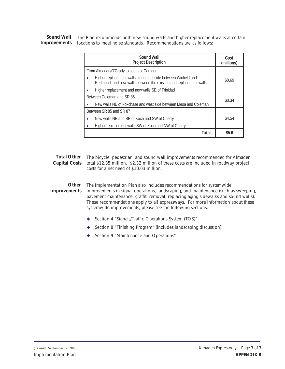*Sound Wall Improvements* The Plan recommends both new sound walls and higher replacement walls at certain locations to meet noise standards. Recommendations are as follows:

| Sound Wall<br><b>Project Description</b>                                                                                           | Cost<br>(millions) |
|------------------------------------------------------------------------------------------------------------------------------------|--------------------|
| From Almaden/O'Grady to south of Camden                                                                                            |                    |
| Higher replacement walls along east side between Winfield and<br>Redmond, and new walls between the existing and replacement walls | \$0.69             |
| Higher replacement and new walls SE of Trinidad                                                                                    |                    |
| Between Coleman and SR 85                                                                                                          | \$0.34             |
| New walls NF of Foxchase and west side between Mesa and Coleman                                                                    |                    |
| Between SR 85 and SR 87                                                                                                            |                    |
| New walls NE and SE of Koch and SW of Cherry<br>٠                                                                                  | \$4.54             |
| Higher replacement walls SW of Koch and NW of Cherry                                                                               |                    |
| Total                                                                                                                              | \$5.6              |

*Total Other*  The bicycle, pedestrian, and sound wall improvements recommended for Almaden Capital Costs total \$12.35 million. \$2.32 million of these costs are included in roadway project costs for a net need of \$10.03 million.

*Other Improvements* The *Implementation Plan* also includes recommendations for systemwide improvements in signal operations, landscaping, and maintenance (such as sweeping, pavement maintenance, graffiti removal, replacing aging sidewalks and sound walls). These recommendations apply to all expressways. For more information about these systemwide improvements, please see the following sections:

- ◆ Section 4 "Signals/Traffic Operations System (TOS)"
- ◆ Section 8 "Finishing Program" (includes landscaping discussion)
- ◆ Section 9 "Maintenance and Operations"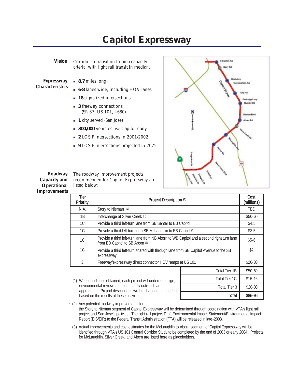## **Capitol Expressway**

*Vision* Corridor in transition to high-capacity arterial with light rail transit in median.

- *Expressway Characteristics*
- 8.7 miles long
- **6-8** lanes wide, including HOV lanes
- **18** signalized intersections
- **3** freeway connections (SR 87, US 101, I-680)
- **1** city served (San Jose)
- **300,000** vehicles use Capitol daily
- **2** LOS F intersections in 2001/2002
- **9** LOS F intersections projected in 2025



Total Tier  $3 \mid$  \$20-30

*Roadway Capacity and Operational Improvements* The roadway improvement projects recommended for Capitol Expressway are listed below:

| Tier<br>Priority                                                               | Project Description (1)                                                                                                    |               | Cost<br>(millions) |
|--------------------------------------------------------------------------------|----------------------------------------------------------------------------------------------------------------------------|---------------|--------------------|
| N.A.                                                                           | Story to Nieman (2)                                                                                                        |               | <b>TBD</b>         |
| 1B                                                                             | Interchange at Silver Creek (3)                                                                                            |               | $$50-60$           |
| 1C                                                                             | Provide a third left-turn lane from SB Senter to EB Capitol                                                                |               | \$4.5              |
| 1C                                                                             | Provide a third left-turn form SB McLaughlin to EB Capitol (3)                                                             |               | \$3.5              |
| 1C                                                                             | Provide a third left-turn lane from NB Aborn to WB Capitol and a second right-turn lane<br>from EB Capitol to SB Aborn (3) |               | $$5-6$             |
| 1 <sup>C</sup>                                                                 | Provide a third left-turn shared with through lane from SB Capitol Avenue to the SB<br>expressway                          |               | \$2                |
| 3                                                                              | Freeway/expressway direct connector HOV ramps at US 101                                                                    |               | $$20-30$           |
|                                                                                |                                                                                                                            | Total Tier 1B | $$50-60$           |
| Total Tier 1C<br>(1) Whan funding is obtained each project will undergo design |                                                                                                                            | $$15-16$      |                    |

- (1) When funding is obtained, each project will undergo design, environmental review, and community outreach as appropriate. Project descriptions will be changed as needed based on the results of these activities. The state of the set of the set of these activities. Total is set of the set of the set of the set of the set of the set of the set of the set of the set of the set of the set of t
- $(2)$  Any potential roadway improvements for the Story to Nieman segment of Capitol Expressway will be determined through coordination with VTA's light rail project and San Jose's policies. The light rail project Draft Environmental Impact Statement/Environmental Impact Report (EIS/EIR) to the Federal Transit Administration (FTA) will be released in late-2003.
	- (3) Actual improvements and cost estimates for the McLaughlin to Aborn segment of Capitol Expressway will be identified through VTA's US 101 Central Corridor Study to be completed by the end of 2003 or early 2004. Projects for McLaughlin, Silver Creek, and Aborn are listed here as placeholders.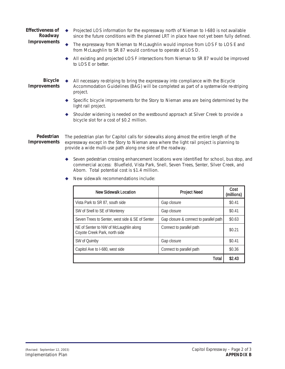- *Effectiveness of Roadway Improvements* Projected LOS information for the expressway north of Nieman to I-680 is not available since the future conditions with the planned LRT in place have not yet been fully defined.
	- The expressway from Nieman to McLaughlin would improve from LOS F to LOS E and from McLaughlin to SR 87 would continue to operate at LOS D.
	- All existing and projected LOS F intersections from Nieman to SR 87 would be improved to LOS E or better.

*Bicycle Improvements*

- All necessary re-striping to bring the expressway into compliance with the Bicycle Accommodation Guidelines (BAG) will be completed as part of a systemwide re-striping project.
- Specific bicycle improvements for the Story to Nieman area are being determined by the light rail project.
- Shoulder widening is needed on the westbound approach at Silver Creek to provide a bicycle slot for a cost of \$0.2 million.

*Pedestrian Improvements* The pedestrian plan for Capitol calls for sidewalks along almost the entire length of the expressway except in the Story to Nieman area where the light rail project is planning to provide a wide multi-use path along one side of the roadway.

- Seven pedestrian crossing enhancement locations were identified for school, bus stop, and commercial access: Bluefield, Vista Park, Snell, Seven Trees, Senter, Silver Creek, and Aborn. Total potential cost is \$1.4 million.
	- New Sidewalk Location **Project Need** Cost (millions) Vista Park to SR 87, south side Gap closure Gap closure \$0.41 SW of Snell to SE of Monterey Gap closure Gap closure the solution of the solution of the solution of the solution of the solution of the solution of the solution of the solution of the solution of the solution of the solu Seven Trees to Senter, west side & SE of Senter  $\left|$  Gap closure & connect to parallel path  $\left| \right.$  \$0.63 NE of Senter to NW of McLaughlin along Coyote Creek Park, north side Connect to parallel path \$0.21 SW of Quimby Soles and Soles and Soles and Soles and Soles and Soles and Soles and Soles and Soles and Soles and Soles and Soles and Soles and Soles and Soles and Soles and Soles and Soles and Soles and Soles and Soles and Capitol Ave to I-680, west side Connect to parallel path  $\qquad$  \$0.36 Total  $\frac{1}{2.43}$
- ◆ New sidewalk recommendations include: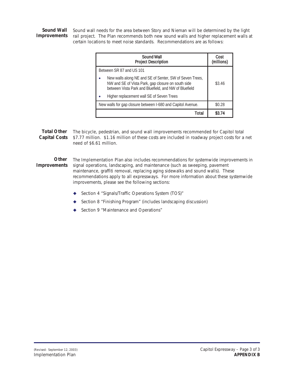*Sound Wall Improvements* rail project. The Plan recommends both new sound walls and higher replacement walls at Sound wall needs for the area between Story and Nieman will be determined by the light certain locations to meet noise standards. Recommendations are as follows:

| Sound Wall<br><b>Project Description</b>                                                                                                                               | Cost<br>(millions) |
|------------------------------------------------------------------------------------------------------------------------------------------------------------------------|--------------------|
| Between SR 87 and US 101                                                                                                                                               |                    |
| New walls along NE and SE of Senter, SW of Seven Trees,<br>NW and SE of Vista Park, gap closure on south side<br>between Vista Park and Bluefield, and NW of Bluefield | \$3.46             |
| Higher replacement wall SE of Seven Trees                                                                                                                              |                    |
| New walls for gap closure between I-680 and Capitol Avenue.                                                                                                            | \$0.28             |
| Total                                                                                                                                                                  | \$3.74             |

*Total Other*  The bicycle, pedestrian, and sound wall improvements recommended for Capitol total Capital Costs \$7.77 million. \$1.16 million of these costs are included in roadway project costs for a net need of \$6.61 million.

*Other Improvements* The *Implementation Plan* also includes recommendations for systemwide improvements in signal operations, landscaping, and maintenance (such as sweeping, pavement maintenance, graffiti removal, replacing aging sidewalks and sound walls). These recommendations apply to all expressways. For more information about these systemwide improvements, please see the following sections:

- ◆ Section 4 "Signals/Traffic Operations System (TOS)"
- ◆ Section 8 "Finishing Program" (includes landscaping discussion)
- ◆ Section 9 "Maintenance and Operations"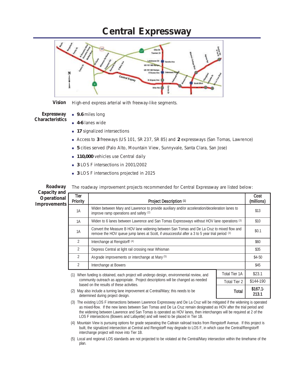#### **Central Expressway**



*Vision* High-end express arterial with freeway-like segments.

*Expressway Characteristics*

- 9.6 miles long
- **4-6** lanes wide
- **17** signalized intersections
- Access to **3** freeways (US 101, SR 237, SR 85) and **2** expressways (San Tomas, Lawrence)
- **5** cities served (Palo Alto, Mountain View, Sunnyvale, Santa Clara, San Jose)
- **110,000** vehicles use Central daily
- **3** LOS F intersections in 2001/2002
- **3** LOS F intersections projected in 2025

| Roadway                                     |                  | The roadway improvement projects recommended for Central Expressway are listed below:                                                                                                        |                      |                    |
|---------------------------------------------|------------------|----------------------------------------------------------------------------------------------------------------------------------------------------------------------------------------------|----------------------|--------------------|
| Capacity and<br>Operational<br>Improvements | Tier<br>Priority | Project Description (1)                                                                                                                                                                      |                      | Cost<br>(millions) |
|                                             | 1A               | Widen between Mary and Lawrence to provide auxiliary and/or acceleration/deceleration lanes to<br>improve ramp operations and safety (2)                                                     |                      | \$13               |
|                                             | 1A               | Widen to 6 lanes between Lawrence and San Tomas Expressways without HOV lane operations (3)                                                                                                  |                      | \$10               |
|                                             | 1A               | Convert the Measure B HOV lane widening between San Tomas and De La Cruz to mixed flow and<br>remove the HOV queue jump lanes at Scott, if unsuccessful after a 3 to 5 year trial period (3) |                      | \$0.1              |
|                                             | $\overline{2}$   | Interchange at Rengstorff <sup>(4)</sup>                                                                                                                                                     |                      | \$60               |
|                                             | 2                | Depress Central at light rail crossing near Whisman                                                                                                                                          |                      |                    |
|                                             | $\overline{2}$   | At-grade improvements or interchange at Mary (5)                                                                                                                                             |                      | $$4-50$            |
|                                             | 2                | Interchange at Bowers                                                                                                                                                                        |                      | \$45               |
|                                             | (1)              | When funding is obtained, each project will undergo design, environmental review, and                                                                                                        | <b>Total Tier 1A</b> | \$23.1             |
|                                             |                  | community outreach as appropriate. Project descriptions will be changed as needed<br>based on the results of these activities.                                                               | Total Tier 2         | \$144-190          |
|                                             | (2)              | May also include a turning lane improvement at Central/Mary; this needs to be<br>determined during project design.                                                                           | Total                | $$167.1-$<br>213.1 |

(3) The existing LOS F intersections between Lawrence Expressway and De La Cruz will be mitigated if the widening is operated as mixed-flow. If the new lanes between San Tomas and De La Cruz remain designated as HOV after the trial period and the widening between Lawrence and San Tomas is operated as HOV lanes, then interchanges will be required at 2 of the LOS F intersections (Bowers and Lafayette) and will need to be placed in Tier 1B.

(4) Mountain View is pursuing options for grade separating the Caltrain railroad tracks from Rengstorff Avenue. If this project is built, the signalized intersection at Central and Rengstorff may degrade to LOS F, in which case the Central/Rengstorff interchange project will move into Tier 1B.

(5) Local and regional LOS standards are not projected to be violated at the Central/Mary intersection within the timeframe of the plan.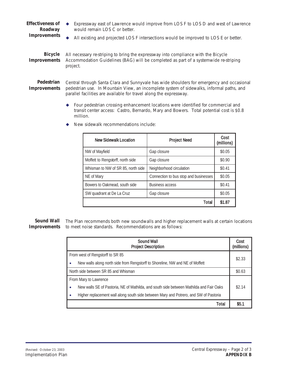- *Effectiveness of Roadway* Expressway east of Lawrence would improve from LOS F to LOS D and west of Lawrence would remain LOS C or better.
- *Improvements*

All existing and projected LOS F intersections would be improved to LOS E or better.

*Bicycle Improvements* All necessary re-striping to bring the expressway into compliance with the Bicycle Accommodation Guidelines (BAG) will be completed as part of a systemwide re-striping project.

*Pedestrian Improvements* Central through Santa Clara and Sunnyvale has wide shoulders for emergency and occasional pedestrian use. In Mountain View, an incomplete system of sidewalks, informal paths, and parallel facilities are available for travel along the expressway.

> Four pedestrian crossing enhancement locations were identified for commercial and transit center access: Castro, Bernardo, Mary and Bowers. Total potential cost is \$0.8 million.

| New Sidewalk Location              | <b>Project Need</b>                   | Cost<br>(millions) |
|------------------------------------|---------------------------------------|--------------------|
| NW of Mayfield                     | Gap closure                           | \$0.05             |
| Moffett to Rengstorff, north side  | Gap closure                           | \$0.90             |
| Whisman to NW of SR 85, north side | Neighborhood circulation              | \$0.41             |
| NE of Mary                         | Connection to bus stop and businesses | \$0.05             |
| Bowers to Oakmead, south side      | <b>Business access</b>                | \$0.41             |
| SW quadrant at De La Cruz          | Gap closure                           | \$0.05             |
|                                    | Total                                 | \$1.87             |

◆ New sidewalk recommendations include:

*Sound Wall*  The Plan recommends both new soundwalls and higher replacement walls at certain locations *Improvements* to meet noise standards. Recommendations are as follows:

| Sound Wall<br><b>Project Description</b>                                                     |        |  |
|----------------------------------------------------------------------------------------------|--------|--|
| From west of Rengstorff to SR 85                                                             |        |  |
| New walls along north side from Rengstorff to Shoreline, NW and NE of Moffett<br>٠           | \$2.33 |  |
| North side between SR 85 and Whisman                                                         |        |  |
| From Mary to Lawrence                                                                        |        |  |
| New walls SE of Pastoria, NE of Mathilda, and south side between Mathilda and Fair Oaks<br>٠ | \$2.14 |  |
| Higher replacement wall along south side between Mary and Potrero, and SW of Pastoria        |        |  |
| Total                                                                                        | \$5.1  |  |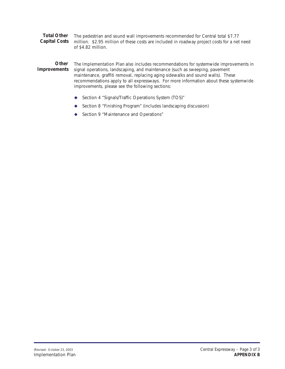*Total Other Capital Costs* The pedestrian and sound wall improvements recommended for Central total \$7.77 million. \$2.95 million of these costs are included in roadway project costs for a net need of \$4.82 million.

*Other Improvements* The *Implementation Plan* also includes recommendations for systemwide improvements in signal operations, landscaping, and maintenance (such as sweeping, pavement maintenance, graffiti removal, replacing aging sidewalks and sound walls). These recommendations apply to all expressways. For more information about these systemwide improvements, please see the following sections:

- ◆ Section 4 "Signals/Traffic Operations System (TOS)"
- ◆ Section 8 "Finishing Program" (includes landscaping discussion)
- ◆ Section 9 "Maintenance and Operations"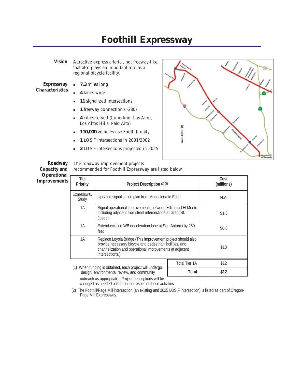#### **Foothill Expressway**

*Vision* Attractive express arterial, not freeway-like, that also plays an important role as a regional bicycle facility.

*Expressway Characteristics*

*Roadway*

- 7.3 miles long
- **4** lanes wide
- **11** signalized intersections
- **1** 1 freeway connection (I-280)
- **4** cities served (Cupertino, Los Altos, Los Altos Hills, Palo Alto)
- **110,000** vehicles use Foothill daily
- **1 1 LOS F intersections in 2001/2002**
- **2** LOS F intersections projected in 2025



The roadway improvement projects

| Capacity and                |                     | recommended for Foothill Expressway are listed below:                                                                                                                                                 |                      |                    |
|-----------------------------|---------------------|-------------------------------------------------------------------------------------------------------------------------------------------------------------------------------------------------------|----------------------|--------------------|
| Operational<br>Improvements | Tier<br>Priority    | Project Description (1) (2)                                                                                                                                                                           |                      | Cost<br>(millions) |
|                             | Expressway<br>Study | Updated signal timing plan from Magdalena to Edith                                                                                                                                                    |                      | N.A.               |
|                             | 1A                  | Signal operational improvements between Edith and El Monte<br>including adjacent side street intersections at Grant/St.<br>Joseph                                                                     |                      | \$1.5              |
|                             | 1A                  | Extend existing WB deceleration lane at San Antonio by 250<br>feet                                                                                                                                    |                      | \$0.5              |
|                             | 1A                  | Replace Loyola Bridge (This improvement project should also<br>provide necessary bicycle and pedestrian facilities, and<br>channelization and operational improvements at adjacent<br>intersections.) |                      | \$10               |
|                             |                     |                                                                                                                                                                                                       | <b>Total Tier 1A</b> | \$12               |
|                             | (1)                 | When funding is obtained, each project will undergo<br>docian onvironmental reviews and community                                                                                                     | Total                | \$12               |

design, environmental review, and community

outreach as appropriate. Project descriptions will be changed as needed based on the results of these activities.

(2) The Foothill/Page Mill intersection (an existing and 2025 LOS F intersection) is listed as part of Oregon-Page Mill Expressway.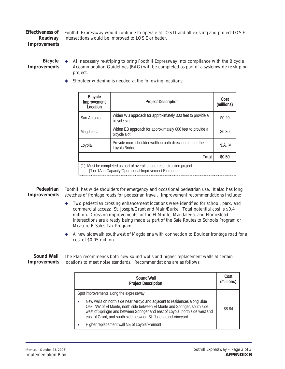*Effectiveness of Roadway Improvements*

Foothill Expressway would continue to operate at LOS D and all existing and project LOS F intersections would be improved to LOS E or better.

*Bicycle Improvements*

- All necessary re-striping to bring Foothill Expressway into compliance with the Bicycle Accommodation Guidelines (BAG) will be completed as part of a systemwide re-striping project.
	- Shoulder widening is needed at the following locations:

| <b>Bicycle</b><br>Improvement<br>Location                                                                                       | <b>Project Description</b>                                                | Cost<br>(millions) |  |
|---------------------------------------------------------------------------------------------------------------------------------|---------------------------------------------------------------------------|--------------------|--|
| San Antonio                                                                                                                     | Widen WB approach for approximately 300 feet to provide a<br>bicycle slot | \$0.20             |  |
| Magdalena                                                                                                                       | Widen EB approach for approximately 600 feet to provide a<br>bicycle slot | \$0.30             |  |
| Loyola                                                                                                                          | Provide more shoulder width in both directions under the<br>Loyola Bridge | $N.A.$ (1)         |  |
|                                                                                                                                 | Total                                                                     | \$0.50             |  |
| (1) Must be completed as part of overall bridge reconstruction project<br>(Tier 1A in Capacity/Operational Improvement Element) |                                                                           |                    |  |

*Pedestrian Improvements* Foothill has wide shoulders for emergency and occasional pedestrian use. It also has long stretches of frontage roads for pedestrian travel. Improvement recommendations include:

- Two pedestrian crossing enhancement locations were identified for school, park, and commercial access: St. Joseph/Grant and Main/Burke. Total potential cost is \$0.4 million. Crossing improvements for the El Monte, Magdalena, and Homestead intersections are already being made as part of the Safe Routes to Schools Program or Measure B Sales Tax Program.
- A new sidewalk southwest of Magdalena with connection to Boulder frontage road for a cost of \$0.05 million.

*Sound Wall Improvements* locations to meet noise standards. Recommendations are as follows: The Plan recommends both new sound walls and higher replacement walls at certain

| Sound Wall<br><b>Project Description</b>                                                                                                                                                                                                                                                                 | Cost<br>(millions) |
|----------------------------------------------------------------------------------------------------------------------------------------------------------------------------------------------------------------------------------------------------------------------------------------------------------|--------------------|
| Spot improvements along the expressway                                                                                                                                                                                                                                                                   |                    |
| New walls on north side near Arroyo and adjacent to residences along Blue<br>Oak, NW of El Monte, north side between El Monte and Springer, south side<br>west of Springer and between Springer and east of Loyola, north side west and<br>east of Grant, and south side between St. Joseph and Vineyard | \$8.84             |
| Higher replacement wall NE of Loyola/Fremont                                                                                                                                                                                                                                                             |                    |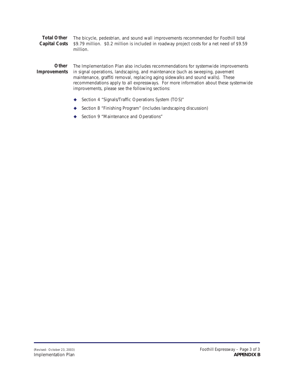*Total Other Capital Costs* The bicycle, pedestrian, and sound wall improvements recommended for Foothill total \$9.79 million. \$0.2 million is included in roadway project costs for a net need of \$9.59 million.

*Other Improvements* The *Implementation Plan* also includes recommendations for systemwide improvements in signal operations, landscaping, and maintenance (such as sweeping, pavement maintenance, graffiti removal, replacing aging sidewalks and sound walls). These recommendations apply to all expressways. For more information about these systemwide improvements, please see the following sections:

- ◆ Section 4 "Signals/Traffic Operations System (TOS)"
- ◆ Section 8 "Finishing Program" (includes landscaping discussion)
- ◆ Section 9 "Maintenance and Operations"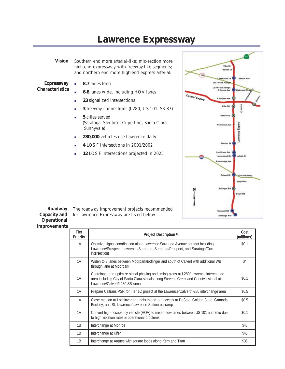## **Lawrence Expressway**

*Vision* Southern end more arterial-like; mid-section more high-end expressway with freeway-like segments; and northern end more high-end express arterial.

- *Expressway Characteristics*
- **8.7** miles long
- **6-8** lanes wide, including HOV lanes
- **23** signalized intersections
- **3** freeway connections (I-280, US 101, SR 87)
- **5** cities served (Saratoga, San Jose, Cupertino, Santa Clara, Sunnyvale)
- **280,000** vehicles use Lawrence daily
- **4** LOS F intersections in 2001/2002
- **12 LOS F intersections projected in 2025**

The roadway improvement projects recommended

for Lawrence Expressway are listed below:



*Roadway Capacity and Operational Improvements*

| Tier<br>Priority | Project Description (1)                                                                                                                                                                                          | Cost<br>(millions) |
|------------------|------------------------------------------------------------------------------------------------------------------------------------------------------------------------------------------------------------------|--------------------|
| 1A               | Optimize signal coordination along Lawrence-Saratoga Avenue corridor including<br>Lawrence/Prospect, Lawrence/Saratoga, Saratoga/Prospect, and Saratoga/Cox<br><i>intersections</i>                              | \$0.1              |
| 1A               | Widen to 8 lanes between Moorpark/Bollinger and south of Calvert with additional WB<br>through lane at Moorpark                                                                                                  | \$4                |
| 1A               | Coordinate and optimize signal phasing and timing plans at I-280/Lawrence interchange<br>area including City of Santa Clara signals along Stevens Creek and County's signal at<br>Lawrence/Calvert/I-280 SB ramp | \$0.1              |
| 1A               | Prepare Caltrans PSR for Tier 1C project at the Lawrence/Calvert/I-280 interchange area                                                                                                                          | \$0.5              |
| 1A               | Close median at Lochinvar and right-in-and-out access at DeSoto, Golden State, Granada,<br>Buckley, and St. Lawrence/Lawrence Station on-ramp                                                                    | \$0.5              |
| 1A               | Convert high-occupancy vehicle (HOV) to mixed-flow lanes between US 101 and Elko due<br>to high violation rates & operational problems                                                                           | \$0.1              |
| 1B               | Interchange at Monroe                                                                                                                                                                                            | \$45               |
| 1B               | Interchange at Kifer                                                                                                                                                                                             | \$45               |
| 1B               | Interchange at Arques with square loops along Kern and Titan                                                                                                                                                     | \$35               |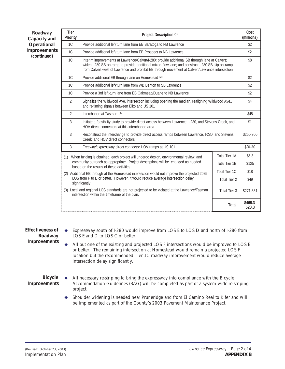| Roadway<br>Capacity and<br>Operational<br>Improvements<br>(continued) | <b>Tier</b><br>Priority | Project Description (1)                                                                                                                                                                                                                                                                               |                                                                                                  | Cost<br>(millions) |  |  |  |
|-----------------------------------------------------------------------|-------------------------|-------------------------------------------------------------------------------------------------------------------------------------------------------------------------------------------------------------------------------------------------------------------------------------------------------|--------------------------------------------------------------------------------------------------|--------------------|--|--|--|
|                                                                       | 1C                      | Provide additional left-turn lane from EB Saratoga to NB Lawrence                                                                                                                                                                                                                                     |                                                                                                  | \$2                |  |  |  |
|                                                                       | 1C                      | Provide additional left-turn lane from EB Prospect to NB Lawrence                                                                                                                                                                                                                                     |                                                                                                  |                    |  |  |  |
|                                                                       | 1C                      | Interim improvements at Lawrence/Calvet/I-280: provide additional SB through lane at Calvert;<br>widen I-280 SB on-ramp to provide additional mixed-flow lane; and construct I-280 SB slip on-ramp<br>from Calvert west of Lawrence and prohibit EB through movement at Calvert/Lawrence intersection |                                                                                                  | \$8                |  |  |  |
|                                                                       | 1C                      | Provide additional EB through lane on Homestead (2)                                                                                                                                                                                                                                                   |                                                                                                  | \$2                |  |  |  |
|                                                                       | 1C                      | Provide additional left-turn lane from WB Benton to SB Lawrence                                                                                                                                                                                                                                       |                                                                                                  | \$2                |  |  |  |
|                                                                       | 1C                      | Provide a 3rd left-turn lane from EB Oakmead/Duane to NB Lawrence                                                                                                                                                                                                                                     |                                                                                                  | \$2                |  |  |  |
|                                                                       | $\overline{2}$          | and re-timing signals between Elko and US 101                                                                                                                                                                                                                                                         | Signalize the Wildwood Ave. intersection including opening the median, realigning Wildwood Ave., |                    |  |  |  |
|                                                                       | $\overline{2}$          | Interchange at Tasman (3)                                                                                                                                                                                                                                                                             |                                                                                                  |                    |  |  |  |
|                                                                       | 3                       | Initiate a feasibility study to provide direct access between Lawrence, I-280, and Stevens Creek, and<br>HOV direct connectors at this interchange area                                                                                                                                               |                                                                                                  |                    |  |  |  |
|                                                                       | 3                       | Reconstruct the interchange to provide direct access ramps between Lawrence, I-280, and Stevens<br>Creek, and HOV direct connectors                                                                                                                                                                   |                                                                                                  | \$250-300          |  |  |  |
|                                                                       | 3                       | Freeway/expressway direct connector HOV ramps at US 101                                                                                                                                                                                                                                               |                                                                                                  | \$20-30            |  |  |  |
|                                                                       | (1)                     | When funding is obtained, each project will undergo design, environmental review, and                                                                                                                                                                                                                 | Total Tier 1A                                                                                    | \$5.3              |  |  |  |
|                                                                       |                         | community outreach as appropriate. Project descriptions will be changed as needed<br>based on the results of these activities.                                                                                                                                                                        | Total Tier 1B                                                                                    | \$125              |  |  |  |
|                                                                       |                         | (2) Additional EB through at the Homestead intersection would not improve the projected 2025                                                                                                                                                                                                          | Total Tier 1C                                                                                    | \$18               |  |  |  |
|                                                                       |                         | LOS from F to E or better. However, it would reduce average intersection delay<br>significantly.                                                                                                                                                                                                      | Total Tier 2                                                                                     | \$49               |  |  |  |
|                                                                       |                         | (3) Local and regional LOS standards are not projected to be violated at the Lawrence/Tasman<br>intersection within the timeframe of the plan.                                                                                                                                                        | Total Tier 3                                                                                     | \$271-331          |  |  |  |
|                                                                       |                         |                                                                                                                                                                                                                                                                                                       | <b>Total</b>                                                                                     | \$468.3<br>528.3   |  |  |  |

*Effectiveness of Roadway Improvements*

- Expressway south of I-280 would improve from LOS E to LOS D and north of I-280 from LOS E and D to LOS C or better.
- All but one of the existing and projected LOS F intersections would be improved to LOS E or better. The remaining intersection at Homestead would remain a projected LOS F location but the recommended Tier 1C roadway improvement would reduce average intersection delay significantly.

*Bicycle Improvements*

- All necessary re-striping to bring the expressway into compliance with the Bicycle Accommodation Guidelines (BAG) will be completed as part of a system-wide re-striping project.
	- Shoulder widening is needed near Pruneridge and from El Camino Real to Kifer and will be implemented as part of the County's 2003 Pavement Maintenance Project.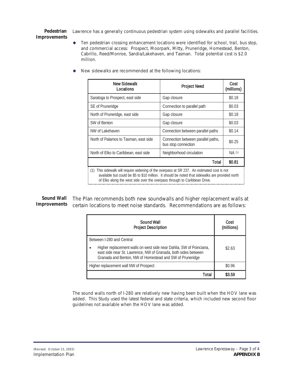*Pedestrian Improvements* Lawrence has a generally continuous pedestrian system using sidewalks and parallel facilities.

> $\blacklozenge$  Ten pedestrian crossing enhancement locations were identified for school, trail, bus stop, and commercial access: Prospect, Moorpark, Mitty, Pruneridge, Homestead, Benton, Cabrillo, Reed/Monroe, Sandia/Lakehaven, and Tasman. Total potential cost is \$2.0 million.

| <b>New Sidewalk</b><br>Locations                                                               | <b>Project Need</b>                                       | Cost<br>(millions) |  |
|------------------------------------------------------------------------------------------------|-----------------------------------------------------------|--------------------|--|
|                                                                                                |                                                           |                    |  |
| Saratoga to Prospect, east side                                                                | Gap closure                                               | \$0.18             |  |
| SE of Pruneridge                                                                               | Connection to parallel path                               | \$0.03             |  |
| North of Pruneridge, east side                                                                 | Gap closure                                               | \$0.18             |  |
| SW of Benton                                                                                   | Gap closure                                               | \$0.03             |  |
| NW of Lakehaven                                                                                | Connection between parallel paths                         | \$0.14             |  |
| North of Palamos to Tasman, east side                                                          | Connection between parallel paths,<br>bus stop connection | \$0.25             |  |
| North of Elko to Caribbean, east side                                                          | Neighborhood circulation                                  | NA (1)             |  |
|                                                                                                | Total                                                     | \$0.81             |  |
| This sidewalk will require widening of the overpass at SR 237. An estimated cost is not<br>(1) |                                                           |                    |  |

◆ New sidewalks are recommended at the following locations:

available but could be \$5 to \$10 million. It should be noted that sidewalks are provided north of Elko along the west side over the overpass through to Caribbean Drive.

*Sound Wall Improvements* The Plan recommends both new soundwalls and higher replacement walls at certain locations to meet noise standards. Recommendations are as follows:

| Sound Wall<br><b>Project Description</b>                                                                                                                                                                                            | Cost<br>(millions) |
|-------------------------------------------------------------------------------------------------------------------------------------------------------------------------------------------------------------------------------------|--------------------|
| Between I-280 and Central<br>Higher replacement walls on west side near Dahlia, SW of Poinciana,<br>٠<br>east side near St. Lawrence, NW of Granada, both sides between<br>Granada and Benton, NW of Homestead and SW of Pruneridge | \$2.63             |
| Higher replacement wall NW of Prospect                                                                                                                                                                                              | \$0.96             |
| Total                                                                                                                                                                                                                               | \$3.59             |

The sound walls north of I-280 are relatively new having been built when the HOV lane was added. This Study used the latest federal and state criteria, which included new second floor guidelines not available when the HOV lane was added.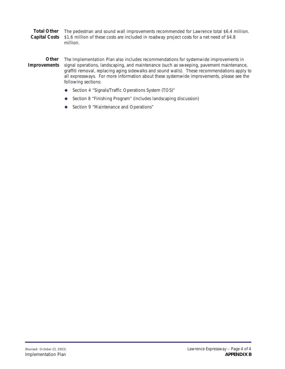*Total Other Capital Costs* The pedestrian and sound wall improvements recommended for Lawrence total \$6.4 million. \$1.6 million of these costs are included in roadway project costs for a net need of \$4.8 million.

*Other Improvements* The *Implementation Plan* also includes recommendations for systemwide improvements in signal operations, landscaping, and maintenance (such as sweeping, pavement maintenance, graffiti removal, replacing aging sidewalks and sound walls). These recommendations apply to all expressways. For more information about these systemwide improvements, please see the following sections:

- ◆ Section 4 "Signals/Traffic Operations System (TOS)"
- ◆ Section 8 "Finishing Program" (includes landscaping discussion)
- ◆ Section 9 "Maintenance and Operations"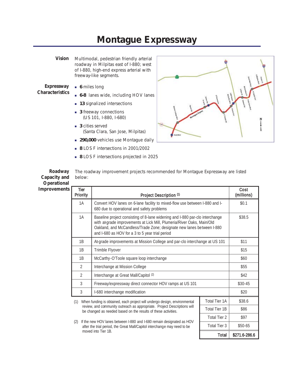#### **Montague Expressway**

*Vision* Multimodal, pedestrian friendly arterial roadway in Milpitas east of I-880; west of I-880, high-end express arterial with freeway-like segments.

*Expressway Characteristics*

- **6** miles long
- **6-8** lanes wide, including HOV lanes
- **13** signalized intersections
- **3** freeway connections (US 101, I-880, I-680)
- **3** cities served (Santa Clara, San Jose, Milpitas)
- **290,000** vehicles use Montague daily
- **8** LOS F intersections in 2001/2002
- **8** LOS F intersections projected in 2025



Total Tier  $3$   $$50-65$ 

Total \$271.6-286.6

| ROADWAY<br>Capacity and<br>Operational | below:           | The roadway improvement projects recommended for Montaque Expressway are listed                                           |                    |
|----------------------------------------|------------------|---------------------------------------------------------------------------------------------------------------------------|--------------------|
| Improvements                           | Tier<br>Priority | Project Description (1)                                                                                                   | Cost<br>(millions) |
|                                        | 1A               | Convert HOV lanes on 6-lane facility to mixed-flow use between I-880 and I-<br>680 due to operational and safety problems | \$0.1              |

| rovements <b>I</b>       | Tier<br>Driority | Droloot Dogorintian (1)                                                         | Cost<br>ímillin, |
|--------------------------|------------------|---------------------------------------------------------------------------------|------------------|
| pacity and<br>perational | below:           |                                                                                 |                  |
| Roadway                  |                  | The roadway improvement projects recommended for Montague Expressway are listed |                  |

| <b>FIJULILY</b>                                                                                          | Project Description W                                                                                                                                                                                                                                                             |         | (IIIIIIIUIII) |
|----------------------------------------------------------------------------------------------------------|-----------------------------------------------------------------------------------------------------------------------------------------------------------------------------------------------------------------------------------------------------------------------------------|---------|---------------|
| 1A                                                                                                       | Convert HOV lanes on 6-lane facility to mixed-flow use between I-880 and I-<br>680 due to operational and safety problems                                                                                                                                                         | \$0.1   |               |
| 1A                                                                                                       | Baseline project consisting of 8-lane widening and I-880 par-clo interchange<br>with atgrade improvements at Lick Mill, Plumeria/River Oaks, Main/Old<br>Oakland, and McCandless/Trade Zone; designate new lanes between I-880<br>and I-680 as HOV for a 3 to 5 year trial period | \$38.5  |               |
| 1B                                                                                                       | At-grade improvements at Mission College and par-clo interchange at US 101                                                                                                                                                                                                        |         | \$11          |
| 1B                                                                                                       | Trimble Flyover                                                                                                                                                                                                                                                                   | \$15    |               |
| 1B                                                                                                       | McCarthy-O'Toole square loop interchange                                                                                                                                                                                                                                          | \$60    |               |
| $\overline{2}$                                                                                           | Interchange at Mission College                                                                                                                                                                                                                                                    | \$55    |               |
| $\mathfrak{D}$                                                                                           | Interchange at Great Mall/Capitol (2)                                                                                                                                                                                                                                             | \$42    |               |
| 3                                                                                                        | Freeway/expressway direct connector HOV ramps at US 101                                                                                                                                                                                                                           | \$30-45 |               |
| 3                                                                                                        | I-680 interchange modification                                                                                                                                                                                                                                                    | \$20    |               |
| <b>Total Tier 1A</b><br>When funding is obtained, each project will undergo design, environmental<br>(1) |                                                                                                                                                                                                                                                                                   |         | \$38.6        |
|                                                                                                          | review, and community outreach as appropriate. Project Descriptions will<br>Total Tier 1B<br>be changed as needed based on the results of these activities.                                                                                                                       |         | \$86          |
| Total Tier 2                                                                                             |                                                                                                                                                                                                                                                                                   |         | \$97          |
| (2) If the new HOV lanes between L-880 and L-680 remain designated as HOV                                |                                                                                                                                                                                                                                                                                   |         |               |

(2) If the new HOV lanes between I-880 and I-680 remain designated as HOV after the trial period, the Great Mall/Capitol interchange may need to be moved into Tier 1B.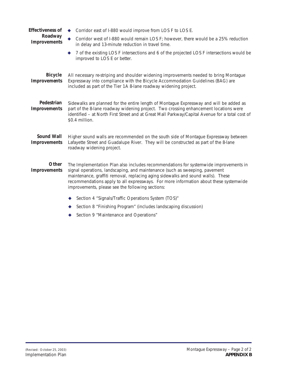| Effectiveness of<br>Roadway<br>Improvements | Corridor east of I-880 would improve from LOS F to LOS E.<br>Corridor west of I-880 would remain LOS F; however, there would be a 25% reduction<br>in delay and 13-minute reduction in travel time.<br>7 of the existing LOS F intersections and 6 of the projected LOS F intersections would be<br>۰<br>improved to LOS E or better.                                                                |
|---------------------------------------------|------------------------------------------------------------------------------------------------------------------------------------------------------------------------------------------------------------------------------------------------------------------------------------------------------------------------------------------------------------------------------------------------------|
| <b>Bicycle</b><br>Improvements              | All necessary re-striping and shoulder widening improvements needed to bring Montague<br>Expressway into compliance with the Bicycle Accommodation Guidelines (BAG) are<br>included as part of the Tier 1A 8-lane roadway widening project.                                                                                                                                                          |
| Pedestrian<br>Improvements                  | Sidewalks are planned for the entire length of Montague Expressway and will be added as<br>part of the 8-lane roadway widening project. Two crossing enhancement locations were<br>identified - at North First Street and at Great Mall Parkway/Capital Avenue for a total cost of<br>\$0.4 million.                                                                                                 |
| Sound Wall<br>Improvements                  | Higher sound walls are recommended on the south side of Montague Expressway between<br>Lafayette Street and Guadalupe River. They will be constructed as part of the 8-lane<br>roadway widening project.                                                                                                                                                                                             |
| Other<br>Improvements                       | The Implementation Plan also includes recommendations for systemwide improvements in<br>signal operations, landscaping, and maintenance (such as sweeping, pavement<br>maintenance, graffiti removal, replacing aging sidewalks and sound walls). These<br>recommendations apply to all expressways. For more information about these systemwide<br>improvements, please see the following sections: |
|                                             | Section 4 "Signals/Traffic Operations System (TOS)"                                                                                                                                                                                                                                                                                                                                                  |
|                                             | Section 8 "Finishing Program" (includes landscaping discussion)                                                                                                                                                                                                                                                                                                                                      |
|                                             | Section 9 "Maintenance and Operations"                                                                                                                                                                                                                                                                                                                                                               |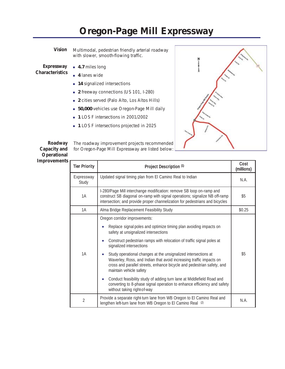# **Oregon-Page Mill Expressway**

*Vision* Multimodal, pedestrian friendly arterial roadway with slower, smooth-flowing traffic.

*Expressway Characteristics*

- **4.7** miles long
- **4** lanes wide
- **14** signalized intersections
- **2** freeway connections (US 101, I-280)
- **2** cities served (Palo Alto, Los Altos Hills)
- **50,000** vehicles use Oregon-Page Mill daily
- **1** LOS F intersections in 2001/2002
- **1** LOS F intersections projected in 2025



*Roadway Capacity and Operational Improvements*

The roadway improvement projects recommended for Oregon-Page Mill Expressway are listed below:

| <b>Tier Priority</b> | Project Description (1)                                                                                                                                                                                                                                                                                                                                                                                                                                                                                                                                                                                                                                                                                                 | Cost<br>(millions) |
|----------------------|-------------------------------------------------------------------------------------------------------------------------------------------------------------------------------------------------------------------------------------------------------------------------------------------------------------------------------------------------------------------------------------------------------------------------------------------------------------------------------------------------------------------------------------------------------------------------------------------------------------------------------------------------------------------------------------------------------------------------|--------------------|
| Expressway<br>Study  | Updated signal timing plan from El Camino Real to Indian                                                                                                                                                                                                                                                                                                                                                                                                                                                                                                                                                                                                                                                                | N.A.               |
| 1A                   | I-280/Page Mill interchange modification: remove SB loop on-ramp and<br>construct SB diagonal on-ramp with signal operations; signalize NB off-ramp<br>intersection; and provide proper channelization for pedestrians and bicycles                                                                                                                                                                                                                                                                                                                                                                                                                                                                                     | \$5                |
| 1A                   | Alma Bridge Replacement Feasibility Study                                                                                                                                                                                                                                                                                                                                                                                                                                                                                                                                                                                                                                                                               | \$0.25             |
| 1A                   | Oregon corridor improvements:<br>Replace signal poles and optimize timing plan avoiding impacts on<br>safety at unsignalized intersections<br>Construct pedestrian ramps with relocation of traffic signal poles at<br>$\bullet$<br>signalized intersections<br>Study operational changes at the unsignalized intersections at<br>$\bullet$<br>Waverley, Ross, and Indian that avoid increasing traffic impacts on<br>cross and parallel streets, enhance bicycle and pedestrian safety, and<br>maintain vehicle safety<br>Conduct feasibility study of adding turn lane at Middlefield Road and<br>$\bullet$<br>converting to 8-phase signal operation to enhance efficiency and safety<br>without taking right of-way | \$5                |
| 2                    | Provide a separate right turn lane from WB Oregon to El Camino Real and<br>lengthen left-turn lane from WB Oregon to El Camino Real (2)                                                                                                                                                                                                                                                                                                                                                                                                                                                                                                                                                                                 | N.A.               |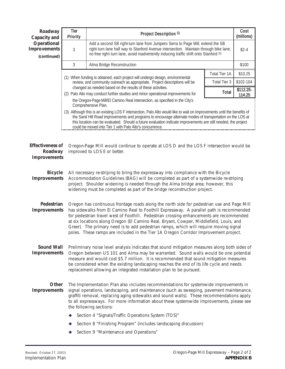| Roadway<br>Capacity and                                                                                                                                                                                                                                                                                                                                                                                                       | <b>Tier</b><br>Priority                                                                                                                                                                                                                                                                                                                                                                                                                   | Project Description (1)                                                                                                                                                                                                                                                                                                                                                                                                                                                                                                                                      |                      | Cost<br>(millions) |
|-------------------------------------------------------------------------------------------------------------------------------------------------------------------------------------------------------------------------------------------------------------------------------------------------------------------------------------------------------------------------------------------------------------------------------|-------------------------------------------------------------------------------------------------------------------------------------------------------------------------------------------------------------------------------------------------------------------------------------------------------------------------------------------------------------------------------------------------------------------------------------------|--------------------------------------------------------------------------------------------------------------------------------------------------------------------------------------------------------------------------------------------------------------------------------------------------------------------------------------------------------------------------------------------------------------------------------------------------------------------------------------------------------------------------------------------------------------|----------------------|--------------------|
| Operational<br>Improvements<br>(continued)                                                                                                                                                                                                                                                                                                                                                                                    | Add a second SB right turn lane from Junipero Serra to Page Mill; extend the SB<br>right-turn lane half way to Stanford Avenue intersection. Maintain through bike lane,<br>$\mathfrak{Z}$<br>no free right-turn lane, avoid inadvertently inducing traffic shift onto Stanford (3)                                                                                                                                                       |                                                                                                                                                                                                                                                                                                                                                                                                                                                                                                                                                              | $$2-4$               |                    |
|                                                                                                                                                                                                                                                                                                                                                                                                                               | $\mathfrak{Z}$                                                                                                                                                                                                                                                                                                                                                                                                                            | Alma Bridge Reconstruction                                                                                                                                                                                                                                                                                                                                                                                                                                                                                                                                   |                      | \$100              |
|                                                                                                                                                                                                                                                                                                                                                                                                                               |                                                                                                                                                                                                                                                                                                                                                                                                                                           |                                                                                                                                                                                                                                                                                                                                                                                                                                                                                                                                                              | <b>Total Tier 1A</b> | \$10.25            |
|                                                                                                                                                                                                                                                                                                                                                                                                                               |                                                                                                                                                                                                                                                                                                                                                                                                                                           | (1) When funding is obtained, each project will undergo design, environmental<br>review, and community outreach as appropriate. Project descriptions will be                                                                                                                                                                                                                                                                                                                                                                                                 | Total Tier 3         | \$102-104          |
|                                                                                                                                                                                                                                                                                                                                                                                                                               |                                                                                                                                                                                                                                                                                                                                                                                                                                           | changed as needed based on the results of these activities.                                                                                                                                                                                                                                                                                                                                                                                                                                                                                                  | <b>Total</b>         | \$112.25-          |
|                                                                                                                                                                                                                                                                                                                                                                                                                               |                                                                                                                                                                                                                                                                                                                                                                                                                                           | (2) Palo Alto may conduct further studies and minor operational improvements for<br>the Oregon-Page Mill/El Camino Real intersection, as specified in the City's                                                                                                                                                                                                                                                                                                                                                                                             |                      | 114.25             |
|                                                                                                                                                                                                                                                                                                                                                                                                                               | Comprehensive Plan.<br>(3) Although this is an existing LOS F intersection, Palo Alto would like to wait on improvements until the benefits of<br>the Sand Hill Road improvements and programs to encourage alternate modes of transportation on the LOS at<br>this location can be evaluated. Should a future evaluation indicate improvements are still needed, the project<br>could be moved into Tier 1 with Palo Alto's concurrence. |                                                                                                                                                                                                                                                                                                                                                                                                                                                                                                                                                              |                      |                    |
| Effectiveness of<br>Roadway<br>Improvements                                                                                                                                                                                                                                                                                                                                                                                   |                                                                                                                                                                                                                                                                                                                                                                                                                                           | Oregon-Page Mill would continue to operate at LOS D and the LOS F intersection would be<br>improved to LOS E or better.                                                                                                                                                                                                                                                                                                                                                                                                                                      |                      |                    |
| <b>Bicycle</b><br>Improvements                                                                                                                                                                                                                                                                                                                                                                                                |                                                                                                                                                                                                                                                                                                                                                                                                                                           | All necessary re-striping to bring the expressway into compliance with the Bicycle<br>Accommodation Guidelines (BAG) will be completed as part of a systemwide re-striping<br>project. Shoulder widening is needed through the Alma bridge area; however, this<br>widening must be completed as part of the bridge reconstruction project.                                                                                                                                                                                                                   |                      |                    |
| Pedestrian<br>Improvements                                                                                                                                                                                                                                                                                                                                                                                                    |                                                                                                                                                                                                                                                                                                                                                                                                                                           | Oregon has continuous frontage roads along the north side for pedestrian use and Page Mill<br>has sidewalks from El Camino Real to Foothill Expressway. A parallel path is recommended<br>for pedestrian travel west of Foothill. Pedestrian crossing enhancements are recommended<br>at six locations along Oregon (El Camino Real, Bryant, Cowper, Middlefield, Louis, and<br>Greer). The primary need is to add pedestrian ramps, which will require moving signal<br>poles. These ramps are included in the Tier 1A Oregon Corridor Improvement project. |                      |                    |
| Sound Wall<br>Improvements                                                                                                                                                                                                                                                                                                                                                                                                    |                                                                                                                                                                                                                                                                                                                                                                                                                                           | Preliminary noise level analysis indicates that sound mitigation measures along both sides of<br>Oregon between US 101 and Alma may be warranted. Sound walls would be one potential<br>measure and would cost \$5.7 million. It is recommended that sound mitigation measures<br>be considered when the existing landscaping reaches the end of its life cycle and needs<br>replacement allowing an integrated installation plan to be pursued.                                                                                                             |                      |                    |
| Other<br>The Implementation Plan also includes recommendations for systemwide improvements in<br>Improvements<br>signal operations, landscaping, and maintenance (such as sweeping, pavement maintenance,<br>graffiti removal, replacing aging sidewalks and sound walls). These recommendations apply<br>to all expressways. For more information about these systemwide improvements, please see<br>the following sections: |                                                                                                                                                                                                                                                                                                                                                                                                                                           |                                                                                                                                                                                                                                                                                                                                                                                                                                                                                                                                                              |                      |                    |
|                                                                                                                                                                                                                                                                                                                                                                                                                               |                                                                                                                                                                                                                                                                                                                                                                                                                                           | Section 4 "Signals/Traffic Operations System (TOS)"                                                                                                                                                                                                                                                                                                                                                                                                                                                                                                          |                      |                    |
|                                                                                                                                                                                                                                                                                                                                                                                                                               |                                                                                                                                                                                                                                                                                                                                                                                                                                           | Section 8 "Finishing Program" (includes landscaping discussion)                                                                                                                                                                                                                                                                                                                                                                                                                                                                                              |                      |                    |
|                                                                                                                                                                                                                                                                                                                                                                                                                               |                                                                                                                                                                                                                                                                                                                                                                                                                                           | Section 9 "Maintenance and Operations"                                                                                                                                                                                                                                                                                                                                                                                                                                                                                                                       |                      |                    |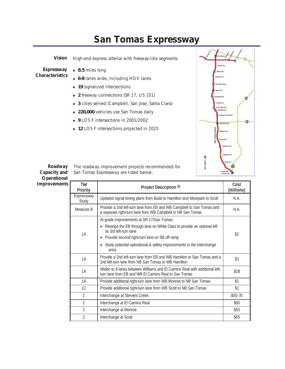#### **San Tomas Expressway**

*Vision* High-end express arterial with freeway-like segments. *Expressway Characteristics* **8.5** miles long **6-8** lanes wide, including HOV lanes **19** signalized intersections **2** freeway connections (SR 17, US 101) **3** cities served (Campbell, San Jose, Santa Clara) **220,000** vehicles use San Tomas daily **9** LOS F intersections in 2001/2002 **12** LOS F intersections projected in 2025



*Roadway Capacity and Operational* **Improvements** 

The roadway improvement projects recommended for San Tomas Expressway are listed below:

| Tier<br>Priority    | Project Description (1)                                                                                                                                                                                                                                                       | Cost<br>(millions) |
|---------------------|-------------------------------------------------------------------------------------------------------------------------------------------------------------------------------------------------------------------------------------------------------------------------------|--------------------|
| Expressway<br>Study | Updated signal timing plans from Budd to Hamilton and Moorpark to Scott                                                                                                                                                                                                       | N.A.               |
| Measure B           | Provide a 2nd left-turn lane from EB and WB Campbell to San Tomas and<br>a separate right-turn lane from WB Campbell to NB San Tomas                                                                                                                                          | N.A.               |
| 1A                  | At grade improvements at SR 17/San Tomas:<br>Restripe the EB through lane on White Oaks to provide an optional left<br>as 3rd left-turn lane<br>Provide second right-turn lane on SB off-ramp<br>Study potential operational & safety improvements in the interchange<br>area | \$2                |
| 1A                  | Provide a 2nd left-turn lane from EB and WB Hamilton to San Tomas and a<br>2nd left-turn lane from NB San Tomas to WB Hamilton                                                                                                                                                | \$2                |
| 1A                  | Widen to 8 lanes between Williams and El Camino Real with additional left-<br>turn lane from EB and WB EI Camino Real to San Tomas                                                                                                                                            | \$28               |
| 1A                  | Provide additional right-turn lane from WB Monroe to NB San Tomas                                                                                                                                                                                                             | \$1                |
| 1C                  | Provide additional right-turn lane from WB Scott to NB San Tomas                                                                                                                                                                                                              | \$1                |
| $\mathfrak{D}$      | Interchange at Stevens Creek                                                                                                                                                                                                                                                  | $$50-70$           |
| $\mathfrak{D}$      | Interchange at El Camino Real                                                                                                                                                                                                                                                 | \$60               |
| $\mathfrak{D}$      | Interchange at Monroe                                                                                                                                                                                                                                                         | \$55               |
| $\mathfrak{D}$      | Interchange at Scott                                                                                                                                                                                                                                                          | \$65               |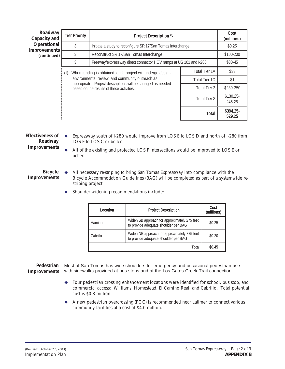| Roadway<br>Capacity and | <b>Tier Priority</b>                                                                                                             | Project Description (1)                                                                                                                                     |                      | Cost<br>(millions)  |
|-------------------------|----------------------------------------------------------------------------------------------------------------------------------|-------------------------------------------------------------------------------------------------------------------------------------------------------------|----------------------|---------------------|
| Operational             | 3<br>Initiate a study to reconfigure SR 17/San Tomas Interchange<br>Improvements<br>3<br>Reconstruct SR 17/San Tomas Interchange |                                                                                                                                                             |                      | \$0.25              |
| (continued)             |                                                                                                                                  | \$100-200                                                                                                                                                   |                      |                     |
|                         | 3                                                                                                                                | Freeway/expressway direct connector HOV ramps at US 101 and I-280                                                                                           |                      | \$30-45             |
|                         | (1)                                                                                                                              | When funding is obtained, each project will undergo design,                                                                                                 | <b>Total Tier 1A</b> | \$33                |
|                         |                                                                                                                                  | environmental review, and community outreach as<br>appropriate. Project descriptions will be changed as needed<br>based on the results of these activities. | Total Tier 1C        | \$1                 |
|                         |                                                                                                                                  |                                                                                                                                                             | <b>Total Tier 2</b>  | \$230-250           |
|                         |                                                                                                                                  |                                                                                                                                                             | Total Tier 3         | \$130.25<br>245.25  |
|                         |                                                                                                                                  |                                                                                                                                                             | <b>Total</b>         | \$394.25-<br>529.25 |

*Effectiveness of Roadway Improvements* Expressway south of I-280 would improve from LOS E to LOS D and north of I-280 from LOS E to LOS C or better.

 All of the existing and projected LOS F intersections would be improved to LOS E or better.

*Bicycle Improvements* All necessary re-striping to bring San Tomas Expressway into compliance with the Bicycle Accommodation Guidelines (BAG) will be completed as part of a systemwide restriping project.

Shoulder widening recommendations include:

| Location | <b>Project Description</b>                                                           | Cost<br>(millions) |
|----------|--------------------------------------------------------------------------------------|--------------------|
| Hamilton | Widen SB approach for approximately 275 feet<br>to provide adequate shoulder per BAG | \$0.25             |
| Cabrillo | Widen NB approach for approximately 375 feet<br>to provide adequate shoulder per BAG | \$0.20             |
|          | Total                                                                                | \$0.45             |

*Pedestrian* Most of San Tomas has wide shoulders for emergency and occasional pedestrian use *Improvements* with sidewalks provided at bus stops and at the Los Gatos Creek Trail connection.

- Four pedestrian crossing enhancement locations were identified for school, bus stop, and commercial access: Williams, Homestead, El Camino Real, and Cabrillo. Total potential cost is \$0.8 million.
- A new pedestrian overcrossing (POC) is recommended near Latimer to connect various community facilities at a cost of \$4.0 million.